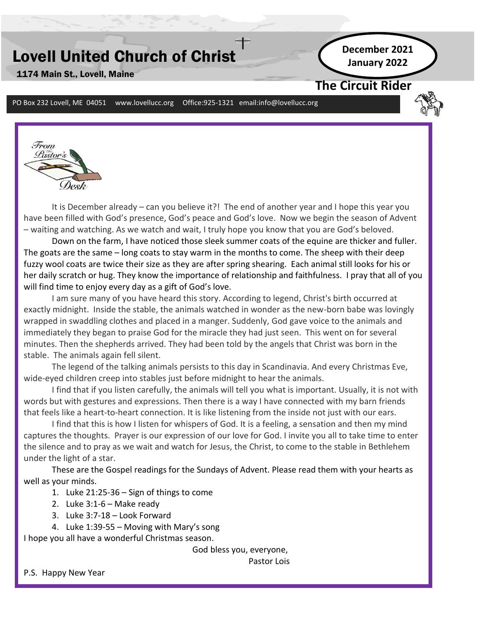# Lovell United Church of Christ

**December 2021 January 2022**

## **The Circuit Rider**

PO Box 232 Lovell, ME 04051 www.lovellucc.org Office:925-1321 email:info@lovellucc.org



1174 Main St., Lovell, Maine

It is December already – can you believe it?! The end of another year and I hope this year you have been filled with God's presence, God's peace and God's love. Now we begin the season of Advent – waiting and watching. As we watch and wait, I truly hope you know that you are God's beloved.

Down on the farm, I have noticed those sleek summer coats of the equine are thicker and fuller. The goats are the same – long coats to stay warm in the months to come. The sheep with their deep fuzzy wool coats are twice their size as they are after spring shearing. Each animal still looks for his or her daily scratch or hug. They know the importance of relationship and faithfulness. I pray that all of you will find time to enjoy every day as a gift of God's love.

**e 1** I am sure many of you have heard this story. According to legend, Christ's birth occurred at exactly midnight. Inside the stable, the animals watched in wonder as the new-born babe was lovingly wrapped in swaddling clothes and placed in a manger. Suddenly, God gave voice to the animals and immediately they began to praise God for the miracle they had just seen. This went on for several minutes. Then the shepherds arrived. They had been told by the angels that Christ was born in the stable. The animals again fell silent.

The legend of the talking animals persists to this day in Scandinavia. And every Christmas Eve, wide-eyed children creep into stables just before midnight to hear the animals.

I find that if you listen carefully, the animals will tell you what is important. Usually, it is not with words but with gestures and expressions. Then there is a way I have connected with my barn friends that feels like a heart-to-heart connection. It is like listening from the inside not just with our ears.

I find that this is how I listen for whispers of God. It is a feeling, a sensation and then my mind captures the thoughts. Prayer is our expression of our love for God. I invite you all to take time to enter the silence and to pray as we wait and watch for Jesus, the Christ, to come to the stable in Bethlehem under the light of a star.

These are the Gospel readings for the Sundays of Advent. Please read them with your hearts as well as your minds.

- 1. Luke 21:25-36 Sign of things to come
- 2. Luke  $3:1-6$  Make ready
- 3. Luke 3:7-18 Look Forward
- 4. Luke 1:39-55 Moving with Mary's song

I hope you all have a wonderful Christmas season.

God bless you, everyone,

Pastor Lois

P.S. Happy New Year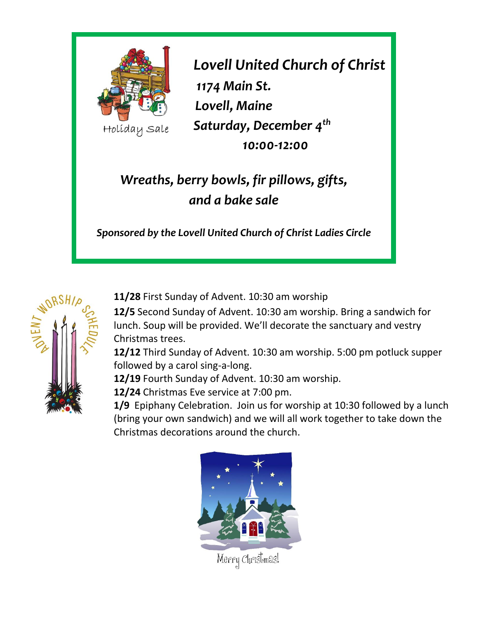

*Lovell United Church of Christ 1174 Main St. Lovell, Maine Saturday, December 4th 10:00-12:00*

# *Wreaths, berry bowls, fir pillows, gifts, and a bake sale*

*Sponsored by the Lovell United Church of Christ Ladies Circle*



**11/28** First Sunday of Advent. 10:30 am worship

**12/5** Second Sunday of Advent. 10:30 am worship. Bring a sandwich for lunch. Soup will be provided. We'll decorate the sanctuary and vestry Christmas trees.

**12/12** Third Sunday of Advent. 10:30 am worship. 5:00 pm potluck supper followed by a carol sing-a-long.

**12/19** Fourth Sunday of Advent. 10:30 am worship.

**12/24** Christmas Eve service at 7:00 pm.

**1/9** Epiphany Celebration. Join us for worship at 10:30 followed by a lunch (bring your own sandwich) and we will all work together to take down the Christmas decorations around the church.

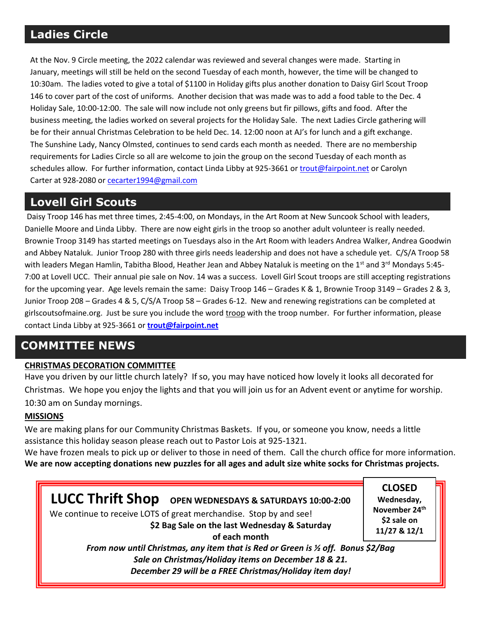## **Ladies Circle**

At the Nov. 9 Circle meeting, the 2022 calendar was reviewed and several changes were made. Starting in January, meetings will still be held on the second Tuesday of each month, however, the time will be changed to 10:30am. The ladies voted to give a total of \$1100 in Holiday gifts plus another donation to Daisy Girl Scout Troop 146 to cover part of the cost of uniforms. Another decision that was made was to add a food table to the Dec. 4 Holiday Sale, 10:00-12:00. The sale will now include not only greens but fir pillows, gifts and food. After the business meeting, the ladies worked on several projects for the Holiday Sale. The next Ladies Circle gathering will be for their annual Christmas Celebration to be held Dec. 14. 12:00 noon at AJ's for lunch and a gift exchange. The Sunshine Lady, Nancy Olmsted, continues to send cards each month as needed. There are no membership requirements for Ladies Circle so all are welcome to join the group on the second Tuesday of each month as schedules allow. For further information, contact Linda Libby at 925-3661 or [trout@fairpoint.net](mailto:trout@fairpoint.net) or Carolyn Carter at 928-2080 o[r cecarter1994@gmail.com](mailto:cecarter1994@gmail.com)

# **Lovell Girl Scouts**

Daisy Troop 146 has met three times, 2:45-4:00, on Mondays, in the Art Room at New Suncook School with leaders, Danielle Moore and Linda Libby. There are now eight girls in the troop so another adult volunteer is really needed. Brownie Troop 3149 has started meetings on Tuesdays also in the Art Room with leaders Andrea Walker, Andrea Goodwin and Abbey Nataluk. Junior Troop 280 with three girls needs leadership and does not have a schedule yet. C/S/A Troop 58 with leaders Megan Hamlin, Tabitha Blood, Heather Jean and Abbey Nataluk is meeting on the 1<sup>st</sup> and 3<sup>rd</sup> Mondays 5:45-7:00 at Lovell UCC. Their annual pie sale on Nov. 14 was a success. Lovell Girl Scout troops are still accepting registrations for the upcoming year. Age levels remain the same: Daisy Troop 146 – Grades K & 1, Brownie Troop 3149 – Grades 2 & 3, Junior Troop 208 – Grades 4 & 5, C/S/A Troop 58 – Grades 6-12. New and renewing registrations can be completed at girlscoutsofmaine.org. Just be sure you include the word troop with the troop number. For further information, please contact Linda Libby at 925-3661 or **[trout@fairpoint.net](mailto:trout@fairpoint.net)**

# **COMMITTEE NEWS**

### **CHRISTMAS DECORATION COMMITTEE**

Have you driven by our little church lately? If so, you may have noticed how lovely it looks all decorated for Christmas. We hope you enjoy the lights and that you will join us for an Advent event or anytime for worship. 10:30 am on Sunday mornings.

### **MISSIONS**

We are making plans for our Community Christmas Baskets. If you, or someone you know, needs a little assistance this holiday season please reach out to Pastor Lois at 925-1321.

We have frozen meals to pick up or deliver to those in need of them. Call the church office for more information. **We are now accepting donations new puzzles for all ages and adult size white socks for Christmas projects.**

**LUCC Thrift Shop OPEN WEDNESDAYS & SATURDAYS 10:00-2:00** We continue to receive LOTS of great merchandise.Stop by and see! **\$2 Bag Sale on the last Wednesday & Saturday of each month** *From now until Christmas, any item that is Red or Green is ½ off. Bonus \$2/Bag*

*Sale on Christmas/Holiday items on December 18 & 21.* 

*December 29 will be a FREE Christmas/Holiday item day!*

**CLOSED Wednesday, November 24th \$2 sale on 11/27 & 12/1**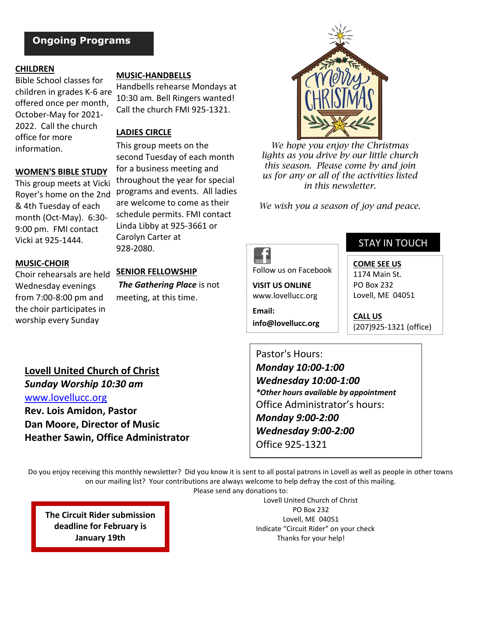### **Ongoing Programs**

#### **CHILDREN**

Bible School classes for children in grades K-6 are offered once per month, October-May for 2021- 2022. Call the church office for more information.

#### **WOMEN'S BIBLE STUDY**

This group meets at Vicki Royer's home on the 2nd & 4th Tuesday of each month (Oct-May). 6:30- 9:00 pm. FMI contact Vicki at 925-1444.

**MUSIC-HANDBELLS**

Handbells rehearse Mondays at 10:30 am. Bell Ringers wanted! Call the church FMI 925-1321.

#### **LADIES CIRCLE**

This group meets on the second Tuesday of each month for a business meeting and throughout the year for special programs and events. All ladies are welcome to come as their schedule permits. FMI contact Linda Libby at 925-3661 or Carolyn Carter at 928-2080.

#### **MUSIC-CHOIR**

Wednesday evenings from 7:00-8:00 pm and the choir participates in worship every Sunday

### Choir rehearsals are held **SENIOR FELLOWSHIP** *The Gathering Place* is not meeting, at this time.



*We hope you enjoy the Christmas lights as you drive by our little church this season. Please come by and join us for any or all of the activities listed in this newsletter.* 

*We wish you a season of joy and peace.*



Follow us on Facebook

**VISIT US ONLINE** www.lovellucc.org

**Email: info@lovellucc.org**

### STAY IN TOUCH

**COME SEE US**

1174 Main St. PO Box 232 Lovell, ME 04051

**CALL US** (207)925-1321 (office)

**Lovell United Church of Christ** *Sunday Worship 10:30 am* [www.lovellucc.org](http://www.lovellucc.org/) **Rev. Lois Amidon, Pastor Dan Moore, Director of Music Heather Sawin, Office Administrator** Pastor's Hours: *Monday 10:00-1:00 Wednesday 10:00-1:00 \*Other hours available by appointment* Office Administrator's hours: *Monday 9:00-2:00 Wednesday 9:00-2:00* Office 925-1321

Do you enjoy receiving this monthly newsletter? Did you know it is sent to all postal patrons in Lovell as well as people in other towns on our mailing list? Your contributions are always welcome to help defray the cost of this mailing.

Please send any donations to:

**The Circuit Rider submission deadline for February is January 19th**

Lovell United Church of Christ PO Box 232 Lovell, ME 04051 Indicate "Circuit Rider" on your check Thanks for your help!